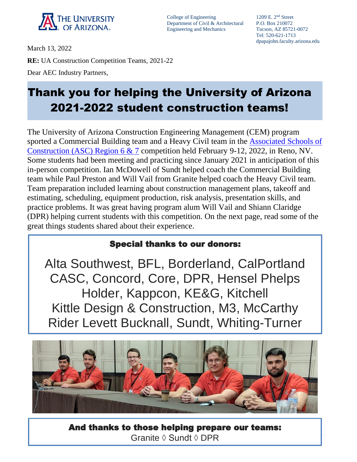

College of Engineering 1209 E. 2<sup>nd</sup> Street Department of Civil & Architectural P.O. Box 210072 Engineering and Mechanics Tucson, AZ 85721-0072

Tel: 520-621-1713 dpapajohn.faculty.arizona.edu

March 13, 2022 **RE:** UA Construction Competition Teams, 2021-22 Dear AEC Industry Partners,

## **ZUZT-ZUZZ STUGENT CONSTRUCTION TEAMS!** Thank you for helping the University of Arizona 2021-2022 student construction teams!

The University of Arizona Construction Engineering Management (CEM) program sported a Commercial Building team and a Heavy Civil team in the [Associated Schools of](https://asc67.org/competition.html)  [Construction \(ASC\) Region 6 & 7](https://asc67.org/competition.html) competition held February 9-12, 2022, in Reno, NV. Some students had been meeting and practicing since January 2021 in anticipation of this in-person competition. Ian McDowell of Sundt helped coach the Commercial Building team while Paul Preston and Will Vail from Granite helped coach the Heavy Civil team. Team preparation included learning about construction management plans, takeoff and estimating, scheduling, equipment production, risk analysis, presentation skills, and practice problems. It was great having program alum Will Vail and Shiann Claridge (DPR) helping current students with this competition. On the next page, read some of the great things students shared about their experience.

## Special thanks to our donors:

Alta Southwest, BFL, Borderland, CalPortland CASC, Concord, Core, DPR, Hensel Phelps Holder, Kappcon, KE&G, Kitchell Kittle Design & Construction, M3, McCarthy Rider Levett Bucknall, Sundt, Whiting-Turner



And thanks to those helping prepare our teams: Granite ◊ Sundt ◊ DPR

Ξ